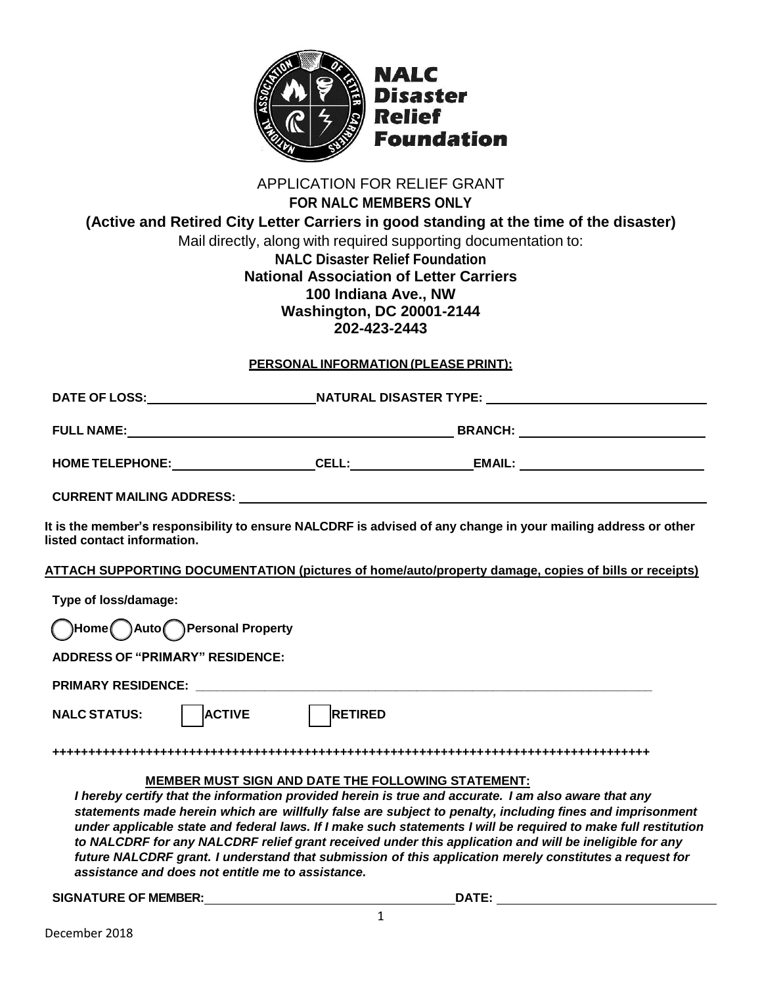

### APPLICATION FOR RELIEF GRANT **FOR NALC MEMBERS ONLY (Active and Retired City Letter Carriers in good standing at the time of the disaster)**  Mail directly, along with required supporting documentation to: **NALC Disaster Relief Foundation National Association of Letter Carriers 100 Indiana Ave., NW**

## **Washington, DC 20001-2144 202-423-2443**

#### **PERSONAL INFORMATION (PLEASE PRINT):**

| It is the member's responsibility to ensure NALCDRF is advised of any change in your mailing address or other<br>listed contact information.                                                                                                                                                                                                                                                                                                                                                                                                                                                                                                                               |                |  |
|----------------------------------------------------------------------------------------------------------------------------------------------------------------------------------------------------------------------------------------------------------------------------------------------------------------------------------------------------------------------------------------------------------------------------------------------------------------------------------------------------------------------------------------------------------------------------------------------------------------------------------------------------------------------------|----------------|--|
| ATTACH SUPPORTING DOCUMENTATION (pictures of home/auto/property damage, copies of bills or receipts)                                                                                                                                                                                                                                                                                                                                                                                                                                                                                                                                                                       |                |  |
| Type of loss/damage:                                                                                                                                                                                                                                                                                                                                                                                                                                                                                                                                                                                                                                                       |                |  |
| Home Auto Personal Property                                                                                                                                                                                                                                                                                                                                                                                                                                                                                                                                                                                                                                                |                |  |
| <b>ADDRESS OF "PRIMARY" RESIDENCE:</b>                                                                                                                                                                                                                                                                                                                                                                                                                                                                                                                                                                                                                                     |                |  |
|                                                                                                                                                                                                                                                                                                                                                                                                                                                                                                                                                                                                                                                                            |                |  |
| <b>ACTIVE</b><br><b>NALC STATUS:</b>                                                                                                                                                                                                                                                                                                                                                                                                                                                                                                                                                                                                                                       | <b>RETIRED</b> |  |
|                                                                                                                                                                                                                                                                                                                                                                                                                                                                                                                                                                                                                                                                            |                |  |
| <b>MEMBER MUST SIGN AND DATE THE FOLLOWING STATEMENT:</b><br>I hereby certify that the information provided herein is true and accurate. I am also aware that any<br>statements made herein which are willfully false are subject to penalty, including fines and imprisonment<br>under applicable state and federal laws. If I make such statements I will be required to make full restitution<br>to NALCDRF for any NALCDRF relief grant received under this application and will be ineligible for any<br>future NALCDRF grant. I understand that submission of this application merely constitutes a request for<br>assistance and does not entitle me to assistance. |                |  |

**SIGNATURE OF MEMBER: DATE:**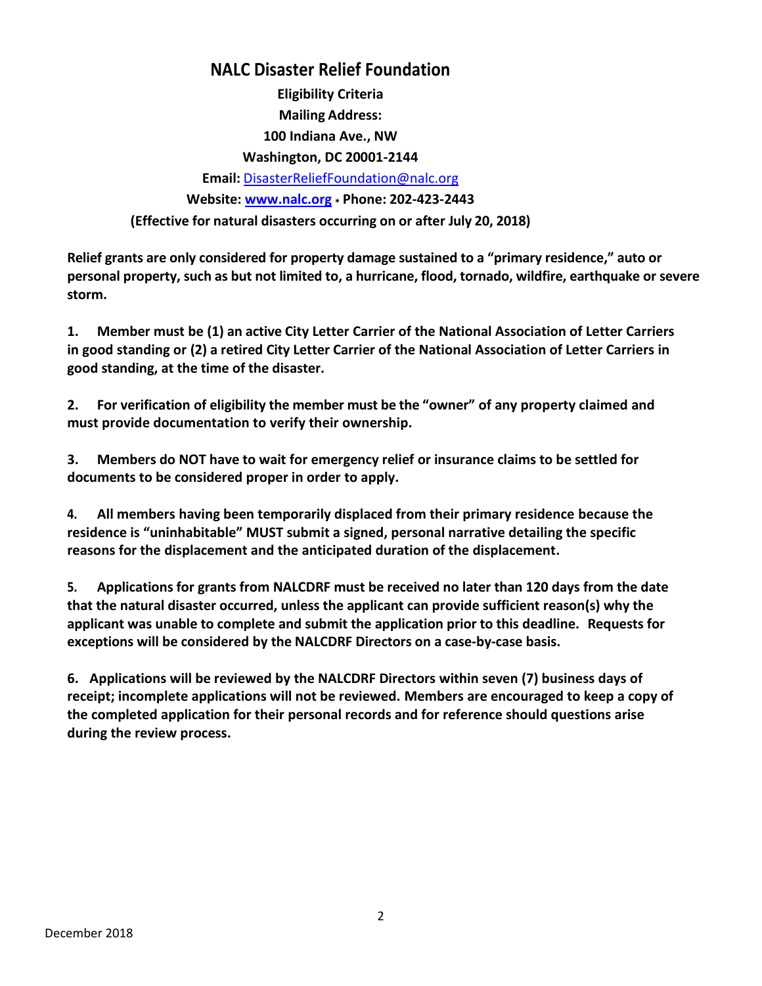## **NALC Disaster Relief Foundation**

**Eligibility Criteria Mailing Address: 100 Indiana Ave., NW Washington, DC 20001-2144 Email:** [DisasterReliefFoundation@nalc.org](mailto:DisasterReliefFoundation@nalc.org) **Website: [www.nalc.org](http://www.nalc.org/) \* Phone: 202-423-2443 (Effective for natural disasters occurring on or after July 20, 2018)**

**Relief grants are only considered for property damage sustained to a "primary residence," auto or personal property, such as but not limited to, a hurricane, flood, tornado, wildfire, earthquake or severe storm.** 

**1. Member must be (1) an active City Letter Carrier of the National Association of Letter Carriers in good standing or (2) a retired City Letter Carrier of the National Association of Letter Carriers in good standing, at the time of the disaster.**

**2. For verification of eligibility the member must be the "owner" of any property claimed and must provide documentation to verify their ownership.**

**3. Members do NOT have to wait for emergency relief or insurance claims to be settled for documents to be considered proper in order to apply.**

**4. All members having been temporarily displaced from their primary residence because the residence is "uninhabitable" MUST submit a signed, personal narrative detailing the specific reasons for the displacement and the anticipated duration of the displacement.**

**5. Applications for grants from NALCDRF must be received no later than 120 days from the date that the natural disaster occurred, unless the applicant can provide sufficient reason(s) why the applicant was unable to complete and submit the application prior to this deadline. Requests for exceptions will be considered by the NALCDRF Directors on a case‐by‐case basis.**

**6. Applications will be reviewed by the NALCDRF Directors within seven (7) business days of receipt; incomplete applications will not be reviewed. Members are encouraged to keep a copy of the completed application for their personal records and for reference should questions arise during the review process.**